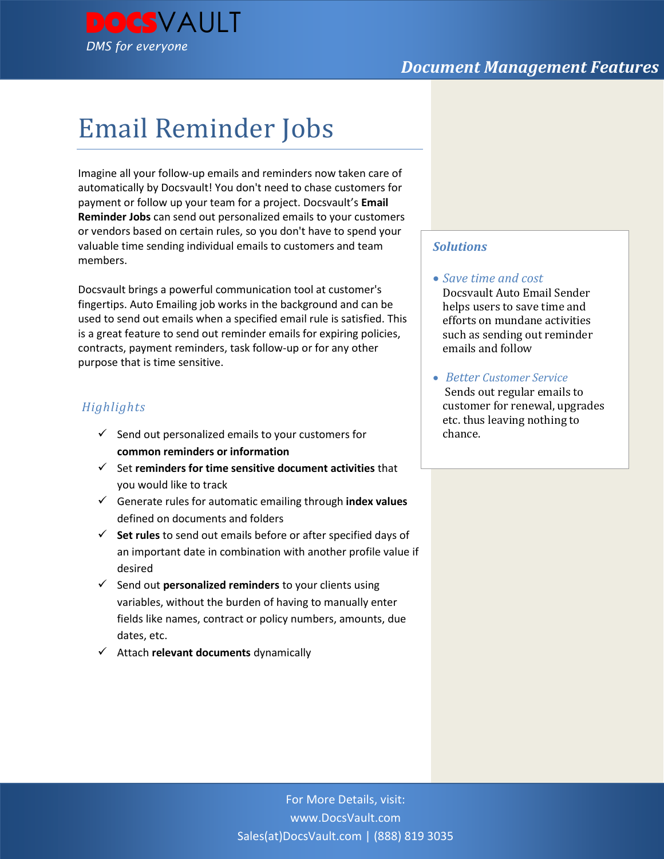

# Email Reminder Jobs

Imagine all your follow-up emails and reminders now taken care of automatically by Docsvault! You don't need to chase customers for payment or follow up your team for a project. Docsvault's **Email Reminder Jobs** can send out personalized emails to your customers or vendors based on certain rules, so you don't have to spend your valuable time sending individual emails to customers and team members.

Docsvault brings a powerful communication tool at customer's fingertips. Auto Emailing job works in the background and can be used to send out emails when a specified email rule is satisfied. This is a great feature to send out reminder emails for expiring policies, contracts, payment reminders, task follow-up or for any other purpose that is time sensitive.

## *Highlights*

- $\checkmark$  Send out personalized emails to your customers for **common reminders or information**
- Set **reminders for time sensitive document activities** that you would like to track
- Generate rules for automatic emailing through **index values**  defined on documents and folders
- **Set rules** to send out emails before or after specified days of an important date in combination with another profile value if desired
- Send out **personalized reminders** to your clients using variables, without the burden of having to manually enter fields like names, contract or policy numbers, amounts, due dates, etc.
- Attach **relevant documents** dynamically

### *Solutions*

#### *Save time and cost*

Docsvault Auto Email Sender helps users to save time and efforts on mundane activities such as sending out reminder emails and follow

 *Better Customer Service* Sends out regular emails to customer for renewal, upgrades etc. thus leaving nothing to chance.